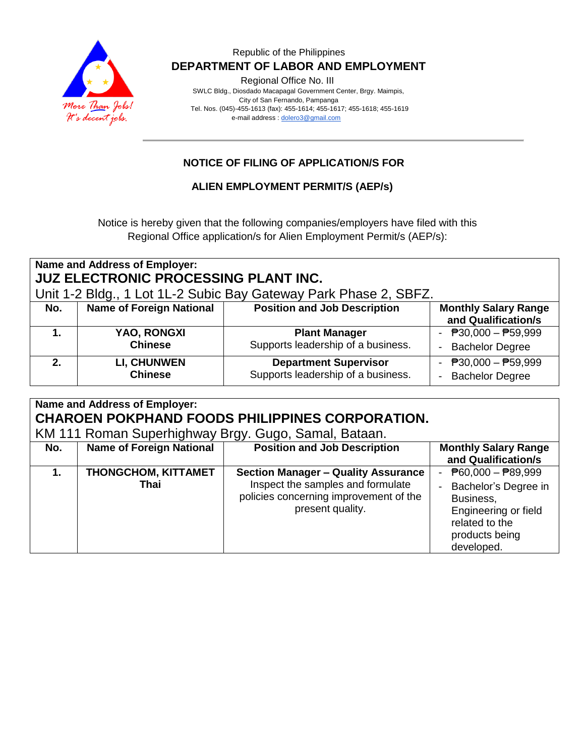

Regional Office No. III

 SWLC Bldg., Diosdado Macapagal Government Center, Brgy. Maimpis, City of San Fernando, Pampanga Tel. Nos. (045)-455-1613 (fax): 455-1614; 455-1617; 455-1618; 455-1619 e-mail address [: dolero3@gmail.com](mailto:dolero3@gmail.com)

# **NOTICE OF FILING OF APPLICATION/S FOR**

#### **ALIEN EMPLOYMENT PERMIT/S (AEP/s)**

Notice is hereby given that the following companies/employers have filed with this Regional Office application/s for Alien Employment Permit/s (AEP/s):

#### **Name and Address of Employer: JUZ ELECTRONIC PROCESSING PLANT INC.** Unit 1-2 Bldg., 1 Lot 1L-2 Subic Bay Gateway Park Phase 2, SBFZ. **No. Name of Foreign National Position and Job Description | Monthly Salary Range and Qualification/s 1. YAO, RONGXI Chinese Plant Manager** Supports leadership of a business.  $- P30,000 - P59,999$ - Bachelor Degree **2. LI, CHUNWEN Chinese Department Supervisor** Supports leadership of a business.  $- P30,000 - P59,999$ - Bachelor Degree

| Name and Address of Employer:<br><b>CHAROEN POKPHAND FOODS PHILIPPINES CORPORATION.</b><br>KM 111 Roman Superhighway Brgy. Gugo, Samal, Bataan. |                                    |                                                                                                                                               |                                                                                                                                                            |  |
|-------------------------------------------------------------------------------------------------------------------------------------------------|------------------------------------|-----------------------------------------------------------------------------------------------------------------------------------------------|------------------------------------------------------------------------------------------------------------------------------------------------------------|--|
| No.                                                                                                                                             | <b>Name of Foreign National</b>    | <b>Position and Job Description</b>                                                                                                           | <b>Monthly Salary Range</b><br>and Qualification/s                                                                                                         |  |
| 1.                                                                                                                                              | <b>THONGCHOM, KITTAMET</b><br>Thai | <b>Section Manager - Quality Assurance</b><br>Inspect the samples and formulate<br>policies concerning improvement of the<br>present quality. | - $\overline{P}60,000 - \overline{P}89,999$<br>Bachelor's Degree in<br>Business,<br>Engineering or field<br>related to the<br>products being<br>developed. |  |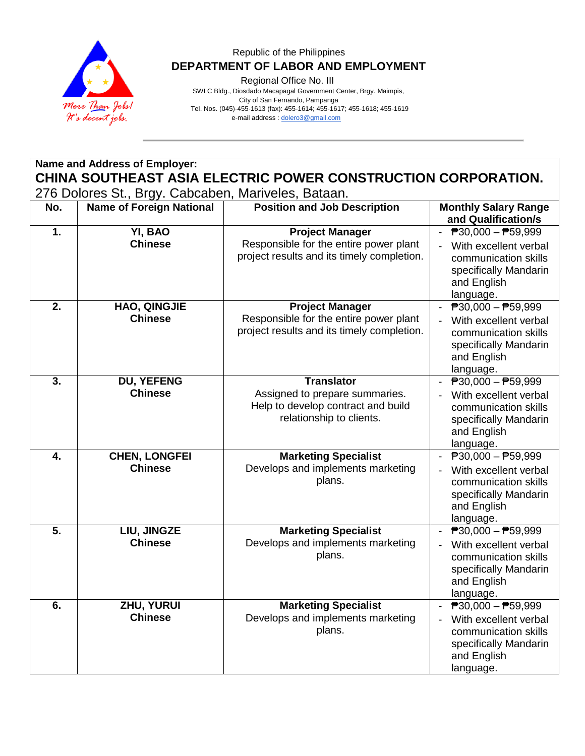

Regional Office No. III

 SWLC Bldg., Diosdado Macapagal Government Center, Brgy. Maimpis, City of San Fernando, Pampanga Tel. Nos. (045)-455-1613 (fax): 455-1614; 455-1617; 455-1618; 455-1619 e-mail address [: dolero3@gmail.com](mailto:dolero3@gmail.com)

**Name and Address of Employer: CHINA SOUTHEAST ASIA ELECTRIC POWER CONSTRUCTION CORPORATION.** 276 Dolores St., Brgy. Cabcaben, Mariveles, Bataan.

| No.              | <b>Name of Foreign National</b>        | <b>Position and Job Description</b>                                                                                   | <b>Monthly Salary Range</b>                                                                                                                                       |
|------------------|----------------------------------------|-----------------------------------------------------------------------------------------------------------------------|-------------------------------------------------------------------------------------------------------------------------------------------------------------------|
|                  |                                        |                                                                                                                       | and Qualification/s                                                                                                                                               |
| 1.               | YI, BAO<br><b>Chinese</b>              | <b>Project Manager</b><br>Responsible for the entire power plant<br>project results and its timely completion.        | $\overline{P}30,000 - \overline{P}59,999$<br>With excellent verbal<br>$\blacksquare$<br>communication skills<br>specifically Mandarin<br>and English<br>language. |
| 2.               | <b>HAO, QINGJIE</b><br><b>Chinese</b>  | <b>Project Manager</b><br>Responsible for the entire power plant<br>project results and its timely completion.        | $\overline{P}30,000 - \overline{P}59,999$<br>With excellent verbal<br>communication skills<br>specifically Mandarin<br>and English<br>language.                   |
| 3.               | DU, YEFENG<br><b>Chinese</b>           | <b>Translator</b><br>Assigned to prepare summaries.<br>Help to develop contract and build<br>relationship to clients. | $\overline{P}30,000 - \overline{P}59,999$<br>With excellent verbal<br>communication skills<br>specifically Mandarin<br>and English<br>language.                   |
| 4.               | <b>CHEN, LONGFEI</b><br><b>Chinese</b> | <b>Marketing Specialist</b><br>Develops and implements marketing<br>plans.                                            | ₱30,000 - ₱59,999<br>With excellent verbal<br>communication skills<br>specifically Mandarin<br>and English<br>language.                                           |
| $\overline{5}$ . | LIU, JINGZE<br><b>Chinese</b>          | <b>Marketing Specialist</b><br>Develops and implements marketing<br>plans.                                            | $\overline{P}30,000 - \overline{P}59,999$<br>With excellent verbal<br>communication skills<br>specifically Mandarin<br>and English<br>language.                   |
| $\overline{6}$ . | <b>ZHU, YURUI</b><br><b>Chinese</b>    | <b>Marketing Specialist</b><br>Develops and implements marketing<br>plans.                                            | $\overline{P}30,000 - \overline{P}59,999$<br>With excellent verbal<br>communication skills<br>specifically Mandarin<br>and English<br>language.                   |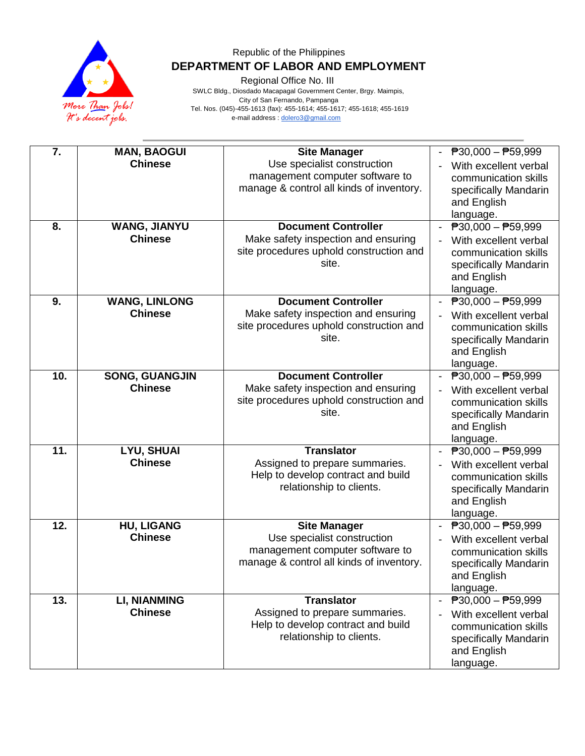

Regional Office No. III

 SWLC Bldg., Diosdado Macapagal Government Center, Brgy. Maimpis, City of San Fernando, Pampanga Tel. Nos. (045)-455-1613 (fax): 455-1614; 455-1617; 455-1618; 455-1619 e-mail address [: dolero3@gmail.com](mailto:dolero3@gmail.com)

| 7.  | <b>MAN, BAOGUI</b><br><b>Chinese</b>    | <b>Site Manager</b><br>Use specialist construction<br>management computer software to<br>manage & control all kinds of inventory. | $\overline{P}30,000 - \overline{P}59,999$<br>With excellent verbal<br>communication skills<br>specifically Mandarin<br>and English<br>language.                             |
|-----|-----------------------------------------|-----------------------------------------------------------------------------------------------------------------------------------|-----------------------------------------------------------------------------------------------------------------------------------------------------------------------------|
| 8.  | <b>WANG, JIANYU</b><br><b>Chinese</b>   | <b>Document Controller</b><br>Make safety inspection and ensuring<br>site procedures uphold construction and<br>site.             | $\overline{P}30,000 - \overline{P}59,999$<br>With excellent verbal<br>communication skills<br>specifically Mandarin<br>and English<br>language.                             |
| 9.  | <b>WANG, LINLONG</b><br><b>Chinese</b>  | <b>Document Controller</b><br>Make safety inspection and ensuring<br>site procedures uphold construction and<br>site.             | $\overline{P}30,000 - \overline{P}59,999$<br>$\overline{\phantom{a}}$<br>With excellent verbal<br>communication skills<br>specifically Mandarin<br>and English<br>language. |
| 10. | <b>SONG, GUANGJIN</b><br><b>Chinese</b> | <b>Document Controller</b><br>Make safety inspection and ensuring<br>site procedures uphold construction and<br>site.             | $\overline{P}30,000 - \overline{P}59,999$<br>With excellent verbal<br>communication skills<br>specifically Mandarin<br>and English<br>language.                             |
| 11. | <b>LYU, SHUAI</b><br><b>Chinese</b>     | <b>Translator</b><br>Assigned to prepare summaries.<br>Help to develop contract and build<br>relationship to clients.             | $\overline{P}30,000 - \overline{P}59,999$<br>With excellent verbal<br>communication skills<br>specifically Mandarin<br>and English<br>language.                             |
| 12. | <b>HU, LIGANG</b><br><b>Chinese</b>     | <b>Site Manager</b><br>Use specialist construction<br>management computer software to<br>manage & control all kinds of inventory. | $\overline{P}30,000 - \overline{P}59,999$<br>With excellent verbal<br>communication skills<br>specifically Mandarin<br>and English<br>language.                             |
| 13. | <b>LI, NIANMING</b><br><b>Chinese</b>   | <b>Translator</b><br>Assigned to prepare summaries.<br>Help to develop contract and build<br>relationship to clients.             | $\overline{P}30,000 - P59,999$<br>With excellent verbal<br>communication skills<br>specifically Mandarin<br>and English<br>language.                                        |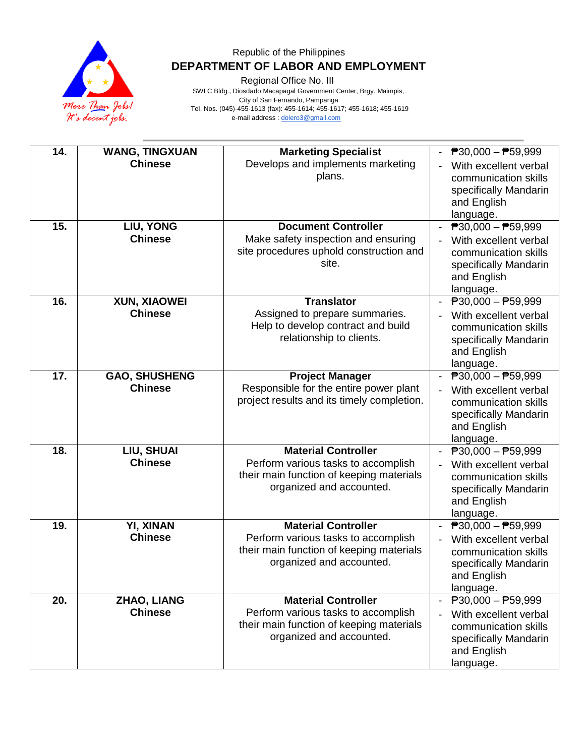

Regional Office No. III

 SWLC Bldg., Diosdado Macapagal Government Center, Brgy. Maimpis, City of San Fernando, Pampanga Tel. Nos. (045)-455-1613 (fax): 455-1614; 455-1617; 455-1618; 455-1619 e-mail address [: dolero3@gmail.com](mailto:dolero3@gmail.com)

| 14. | <b>WANG, TINGXUAN</b><br><b>Chinese</b> | <b>Marketing Specialist</b><br>Develops and implements marketing<br>plans.                                                                | $\overline{P}30,000 - \overline{P}59,999$<br>With excellent verbal<br>communication skills<br>specifically Mandarin<br>and English<br>language. |
|-----|-----------------------------------------|-------------------------------------------------------------------------------------------------------------------------------------------|-------------------------------------------------------------------------------------------------------------------------------------------------|
| 15. | LIU, YONG<br><b>Chinese</b>             | <b>Document Controller</b><br>Make safety inspection and ensuring<br>site procedures uphold construction and<br>site.                     | $\overline{P}30,000 - \overline{P}59,999$<br>With excellent verbal<br>communication skills<br>specifically Mandarin<br>and English<br>language. |
| 16. | <b>XUN, XIAOWEI</b><br><b>Chinese</b>   | <b>Translator</b><br>Assigned to prepare summaries.<br>Help to develop contract and build<br>relationship to clients.                     | ₱30,000 - ₱59,999<br>$\blacksquare$<br>With excellent verbal<br>communication skills<br>specifically Mandarin<br>and English<br>language.       |
| 17. | <b>GAO, SHUSHENG</b><br><b>Chinese</b>  | <b>Project Manager</b><br>Responsible for the entire power plant<br>project results and its timely completion.                            | ₱30,000 - ₱59,999<br>With excellent verbal<br>$\blacksquare$<br>communication skills<br>specifically Mandarin<br>and English<br>language.       |
| 18. | LIU, SHUAI<br><b>Chinese</b>            | <b>Material Controller</b><br>Perform various tasks to accomplish<br>their main function of keeping materials<br>organized and accounted. | $\overline{P}30,000 - \overline{P}59,999$<br>With excellent verbal<br>communication skills<br>specifically Mandarin<br>and English<br>language. |
| 19. | YI, XINAN<br><b>Chinese</b>             | <b>Material Controller</b><br>Perform various tasks to accomplish<br>their main function of keeping materials<br>organized and accounted. | ₱30,000 - ₱59,999<br>$\blacksquare$<br>With excellent verbal<br>communication skills<br>specifically Mandarin<br>and English<br>language.       |
| 20. | ZHAO, LIANG<br><b>Chinese</b>           | <b>Material Controller</b><br>Perform various tasks to accomplish<br>their main function of keeping materials<br>organized and accounted. | ₱30,000 - ₱59,999<br>With excellent verbal<br>communication skills<br>specifically Mandarin<br>and English<br>language.                         |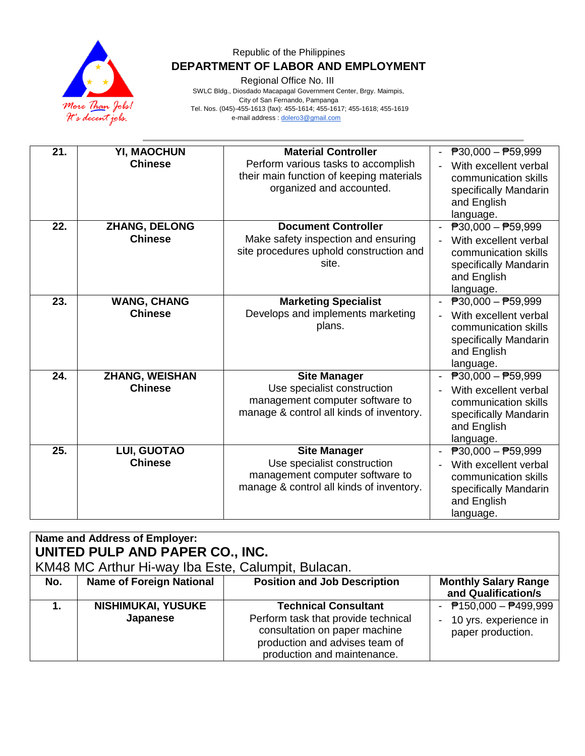

Regional Office No. III

 SWLC Bldg., Diosdado Macapagal Government Center, Brgy. Maimpis, City of San Fernando, Pampanga Tel. Nos. (045)-455-1613 (fax): 455-1614; 455-1617; 455-1618; 455-1619 e-mail address [: dolero3@gmail.com](mailto:dolero3@gmail.com)

| 21. | YI, MAOCHUN<br><b>Chinese</b>           | <b>Material Controller</b><br>Perform various tasks to accomplish<br>their main function of keeping materials<br>organized and accounted. | $\overline{P}30,000 - \overline{P}59,999$<br>With excellent verbal<br>communication skills<br>specifically Mandarin<br>and English<br>language. |
|-----|-----------------------------------------|-------------------------------------------------------------------------------------------------------------------------------------------|-------------------------------------------------------------------------------------------------------------------------------------------------|
| 22. | ZHANG, DELONG<br><b>Chinese</b>         | <b>Document Controller</b><br>Make safety inspection and ensuring<br>site procedures uphold construction and<br>site.                     | $\overline{P}30,000 - \overline{P}59,999$<br>With excellent verbal<br>communication skills<br>specifically Mandarin<br>and English<br>language. |
| 23. | <b>WANG, CHANG</b><br><b>Chinese</b>    | <b>Marketing Specialist</b><br>Develops and implements marketing<br>plans.                                                                | $\overline{P}30,000 - \overline{P}59,999$<br>With excellent verbal<br>communication skills<br>specifically Mandarin<br>and English<br>language. |
| 24. | <b>ZHANG, WEISHAN</b><br><b>Chinese</b> | <b>Site Manager</b><br>Use specialist construction<br>management computer software to<br>manage & control all kinds of inventory.         | $\overline{P}30,000 - \overline{P}59,999$<br>With excellent verbal<br>communication skills<br>specifically Mandarin<br>and English<br>language. |
| 25. | <b>LUI, GUOTAO</b><br><b>Chinese</b>    | <b>Site Manager</b><br>Use specialist construction<br>management computer software to<br>manage & control all kinds of inventory.         | $\overline{P}30,000 - \overline{P}59,999$<br>With excellent verbal<br>communication skills<br>specifically Mandarin<br>and English<br>language. |

| Name and Address of Employer:<br>UNITED PULP AND PAPER CO., INC.<br>KM48 MC Arthur Hi-way Iba Este, Calumpit, Bulacan. |                                       |                                                                                                                                                                      |                                                                             |  |
|------------------------------------------------------------------------------------------------------------------------|---------------------------------------|----------------------------------------------------------------------------------------------------------------------------------------------------------------------|-----------------------------------------------------------------------------|--|
| No.                                                                                                                    | <b>Name of Foreign National</b>       | <b>Position and Job Description</b>                                                                                                                                  | <b>Monthly Salary Range</b><br>and Qualification/s                          |  |
|                                                                                                                        | <b>NISHIMUKAI, YUSUKE</b><br>Japanese | <b>Technical Consultant</b><br>Perform task that provide technical<br>consultation on paper machine<br>production and advises team of<br>production and maintenance. | - $P$ 150,000 - $P$ 499,999<br>- 10 yrs. experience in<br>paper production. |  |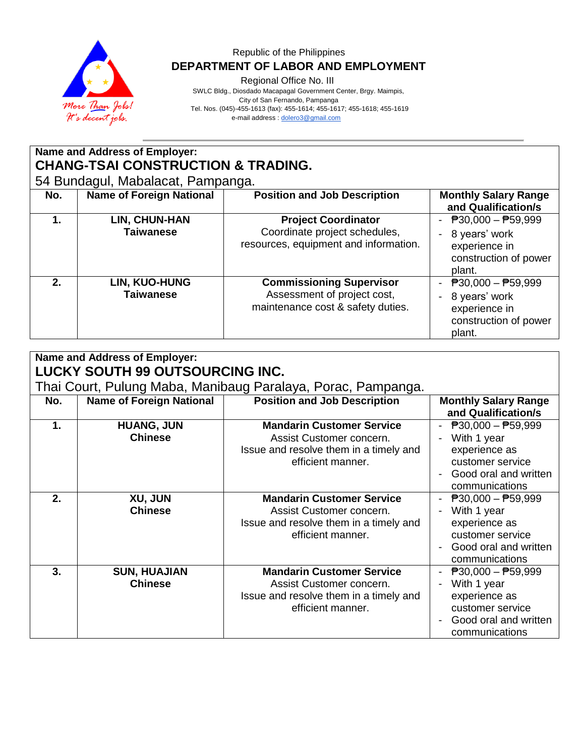

Regional Office No. III

 SWLC Bldg., Diosdado Macapagal Government Center, Brgy. Maimpis, City of San Fernando, Pampanga Tel. Nos. (045)-455-1613 (fax): 455-1614; 455-1617; 455-1618; 455-1619 e-mail address [: dolero3@gmail.com](mailto:dolero3@gmail.com)

# **Name and Address of Employer: CHANG-TSAI CONSTRUCTION & TRADING.**

54 Bundagul, Mabalacat, Pampanga.

| No. | <b>Name of Foreign National</b>          | <b>Position and Job Description</b>                                                                  | <b>Monthly Salary Range</b><br>and Qualification/s                                                                                                   |
|-----|------------------------------------------|------------------------------------------------------------------------------------------------------|------------------------------------------------------------------------------------------------------------------------------------------------------|
|     | <b>LIN, CHUN-HAN</b><br><b>Taiwanese</b> | <b>Project Coordinator</b><br>Coordinate project schedules,<br>resources, equipment and information. | - $P30,000 - P59,999$<br>8 years' work<br>$\blacksquare$<br>experience in<br>construction of power<br>plant.                                         |
| 2.  | <b>LIN, KUO-HUNG</b><br>Taiwanese        | <b>Commissioning Supervisor</b><br>Assessment of project cost,<br>maintenance cost & safety duties.  | $\overline{P}30,000 - \overline{P}59,999$<br>$\overline{\phantom{0}}$<br>8 years' work<br>$\sim$<br>experience in<br>construction of power<br>plant. |

|     | <b>Name and Address of Employer:</b><br>LUCKY SOUTH 99 OUTSOURCING INC. |                                                                                                                             |                                                                                                                                          |  |  |
|-----|-------------------------------------------------------------------------|-----------------------------------------------------------------------------------------------------------------------------|------------------------------------------------------------------------------------------------------------------------------------------|--|--|
|     |                                                                         | Thai Court, Pulung Maba, Manibaug Paralaya, Porac, Pampanga.                                                                |                                                                                                                                          |  |  |
| No. | <b>Name of Foreign National</b>                                         | <b>Position and Job Description</b>                                                                                         | <b>Monthly Salary Range</b><br>and Qualification/s                                                                                       |  |  |
| 1.  | <b>HUANG, JUN</b><br><b>Chinese</b>                                     | <b>Mandarin Customer Service</b><br>Assist Customer concern.<br>Issue and resolve them in a timely and<br>efficient manner. | $P30,000 - P59,999$<br>With 1 year<br>experience as<br>customer service<br>Good oral and written<br>communications                       |  |  |
| 2.  | XU, JUN<br><b>Chinese</b>                                               | <b>Mandarin Customer Service</b><br>Assist Customer concern.<br>Issue and resolve them in a timely and<br>efficient manner. | $\overline{P}30,000 - \overline{P}59,999$<br>With 1 year<br>experience as<br>customer service<br>Good oral and written<br>communications |  |  |
| 3.  | <b>SUN, HUAJIAN</b><br><b>Chinese</b>                                   | <b>Mandarin Customer Service</b><br>Assist Customer concern.<br>Issue and resolve them in a timely and<br>efficient manner. | $\overline{P}30,000 - \overline{P}59,999$<br>With 1 year<br>experience as<br>customer service<br>Good oral and written<br>communications |  |  |